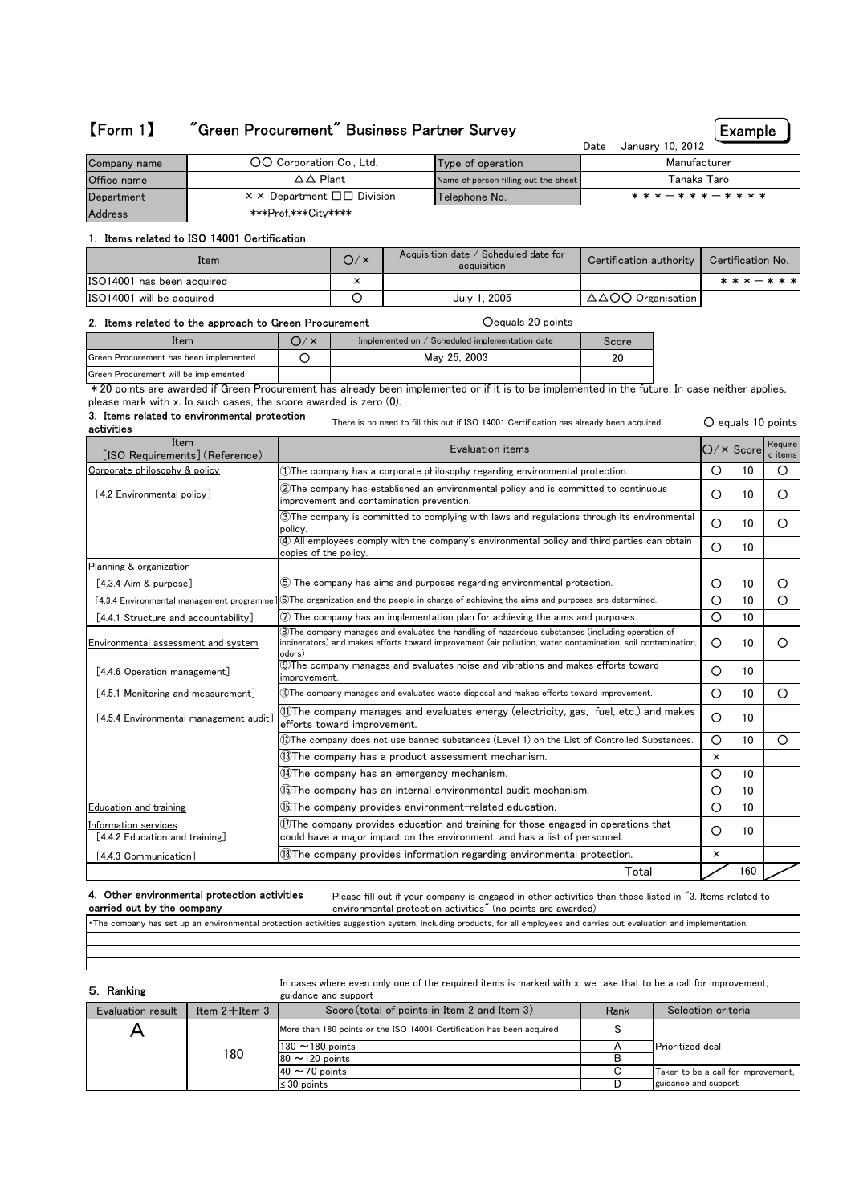# 【Form 1】 "Green Procurement" Business Partner Survey

Example

 $O$  equals 10 points

 $Total$  160

|              |                                                         |                                      | January 10, 2012<br>Date |
|--------------|---------------------------------------------------------|--------------------------------------|--------------------------|
| Company name | OO Corporation Co., Ltd.                                | Type of operation                    | Manufacturer             |
| Office name  | $\Delta\Delta$ Plant                                    | Name of person filling out the sheet | Tanaka Taro              |
| Department   | $\times$ $\times$ Department $\square \square$ Division | Telephone No.                        | * * * - * * * - * * * *  |
| Address      | ***Pref.***Citv****                                     |                                      |                          |

## 1. Items related to ISO 14001 Certification

| Item                       | O/× | Acquisition date / Scheduled date for<br>acquisition | Certification authority   Certification No. |               |
|----------------------------|-----|------------------------------------------------------|---------------------------------------------|---------------|
| ISO14001 has been acquired |     |                                                      |                                             | * * * - * * * |
| ISO14001 will be acquired  |     | July 1, 2005                                         | $\triangle \triangle COO$ Organisation      |               |

## 2. Items related to the approach to Green Procurement ○equals 20 points

| Item                                   | Implemented on / Scheduled implementation date | Score |
|----------------------------------------|------------------------------------------------|-------|
| Green Procurement has been implemented | May 25, 2003                                   |       |
| Green Procurement will be implemented  |                                                |       |
|                                        |                                                |       |

\*20 points are awarded if Green Procurement has already been implemented or if it is to be implemented in the future. In case neither applies, please mark with x. In such cases, the score awarded is zero (0).

There is no need to fill this out if ISO 14001 Certification has already been acquired. 3. Items related to environmental protection activities

 $O/\times$ Score Require d item  $\begin{array}{|c|c|c|c|c|}\hline \text{0} & \text{10} & \text{0} & \text{10} & \text{0} & \text{0} \ \hline \end{array}$  $O$  10  $O$  $\bigcirc$  10  $\bigcirc$  $\bigcirc$  10 [4.3.4 Aim & purpose] **○ 10** 5 The company has aims and purposes regarding environmental protection. <br>
<br>
□ ○ 10 0 0 [4.3.4 Environmental management programme] ○ 10 ○ ⑥The organization and the people in charge of achieving the aims and purposes are determined. [4.4.1 Structure and accountability]  $\emptyset$  The company has an implementation plan for achieving the aims and purposes.  $\frac{\text{Environmental assessment and system}}{\text{and system}}$  incinerators) and makes efforts toward improvement (air pollution, water contamination, soil contamination,  $\begin{bmatrix} 0 & 10 \end{bmatrix}$ [4.4.6 Operation management] <sup>①The</sup> company manages and evaluates noise and vibrations and makes efforts toward **C** 10  $[4.5.1$  Monitoring and measurement]  $[①$ The company manages and evaluates waste disposal and makes efforts toward improvement.  $\bigcirc$  | 0 | 10 |  $\bigcirc$ [4.5.4 Environmental management audit]  $\bigcup_{n=1}^{\infty}$  The company manages and evaluates energy (electricity, gas, fuel, etc.) and makes  $\bigcirc \mid 0$  | 10  $\bigcirc$  10  $\bigcirc$ × ○ 10 ○ 10 Education and training (⑥The company provides environment-related education.  $\bigcirc$  10 [4.4.3 Communication] *S* **W**The company provides information regarding environmental protection. ⑫The company does not use banned substances (Level 1) on the List of Controlled Substances. ⑪The company manages and evaluates energy (electricity, gas, fuel, etc.) and makes efforts toward improvement.  $@$ The company has a product assessment mechanism. Information services [4.4.2 Education and training]  $\widehat{\mathbb{Q}}$ The company has an emergency mechanism. ⑮The company has an internal environmental audit mechanism. improvement.  $\widehat{3}$ The company is committed to complying with laws and regulations through its environmental policy.  $\widehat{2}$ The company has established an environmental policy and is committed to continuous improvement and contamination prevention. Corporate philosophy & policy [4.2 Environmental policy] Item<br>
Item Evaluation items [ISO Requirements](Reference) ⑧The company manages and evaluates the handling of hazardous substances (including operation of odors) Planning & organization ④ All employees comply with the company's environmental policy and third parties can obtain copies of the policy.  $\textcircled{1}$ The company provides education and training for those engaged in operations that could have a major impact on the environment, and has a list of personnel.

### 4. Other environmental protection activities carried out by the company

Please fill out if your company is engaged in other activities than those listed in "3. Items related to environmental protection activities" (no points are awarded)

・The company has set up an environmental protection activities suggestion system, including products, for all employees and carries out evaluation and implementation.

| 5. Ranking        |                     | In cases where even only one of the required items is marked with x, we take that to be a call for improvement,<br>guidance and support |      |                                     |
|-------------------|---------------------|-----------------------------------------------------------------------------------------------------------------------------------------|------|-------------------------------------|
| Evaluation result | Item $2+$ Item $3-$ | Score (total of points in Item 2 and Item 3)                                                                                            | Rank | Selection criteria                  |
|                   |                     | More than 180 points or the ISO 14001 Certification has been acquired                                                                   |      |                                     |
|                   |                     | 130 $\sim$ 180 points                                                                                                                   |      | <b>Prioritized</b> deal             |
|                   | 180                 | $80 \sim 120$ points                                                                                                                    | R    |                                     |
|                   |                     | $40 \sim 70$ points                                                                                                                     | С    | Taken to be a call for improvement, |
|                   |                     | $\leq$ 30 points                                                                                                                        |      | guidance and support                |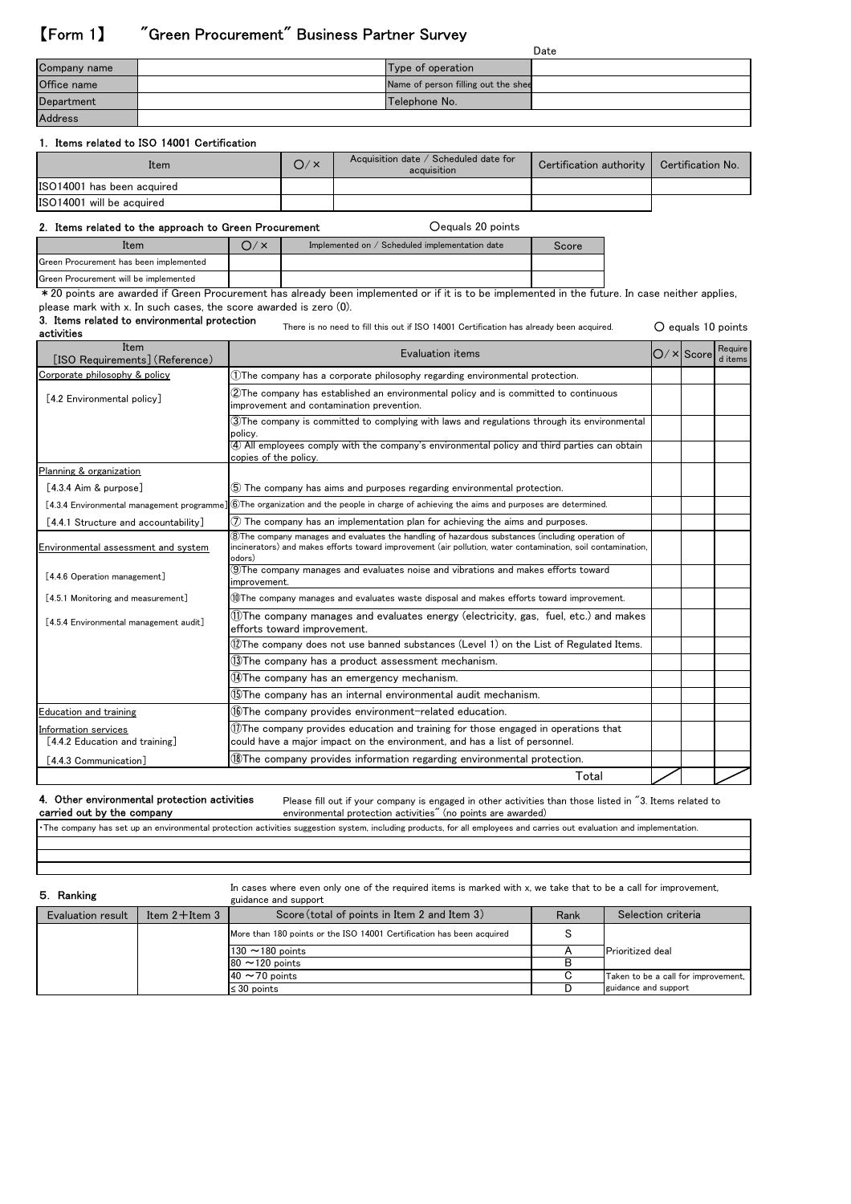# 【Form 1】 "Green Procurement" Business Partner Survey

|                |                                     | Date |
|----------------|-------------------------------------|------|
| Company name   | Type of operation                   |      |
| Office name    | Name of person filling out the shee |      |
| Department     | Telephone No.                       |      |
| <b>Address</b> |                                     |      |

## 1. Items related to ISO 14001 Certification

| Item                       | O / x | Acquisition date / Scheduled date for<br>acquisition | Certification authority   Certification No. |  |
|----------------------------|-------|------------------------------------------------------|---------------------------------------------|--|
| ISO14001 has been acquired |       |                                                      |                                             |  |
| ISO14001 will be acquired  |       |                                                      |                                             |  |

## 2. Items related to the approach to Green Procurement **Same Communishers** Cequals 20 points

| Implemented on / Scheduled implementation date | score |
|------------------------------------------------|-------|
|                                                |       |
|                                                |       |

Green Procurement will be implemented

\* 20 points are awarded if Green Procurement has already been implemented or if it is to be implemented in the future. In case neither applies, please mark with x. In such cases, the score awarded is zero (0).

# 3. Items related to environmental protection

○ equals 10 points There is no need to fill this out if ISO 14001 Certification has already been acquired.

| Item<br>[ISO Requirements] (Reference)                 | Evaluation items                                                                                                                                                                                                           | $O/X$ Score | Require<br>d items |
|--------------------------------------------------------|----------------------------------------------------------------------------------------------------------------------------------------------------------------------------------------------------------------------------|-------------|--------------------|
| Corporate philosophy & policy                          | (1)The company has a corporate philosophy regarding environmental protection.                                                                                                                                              |             |                    |
| [4.2 Environmental policy]                             | 2)The company has established an environmental policy and is committed to continuous<br>improvement and contamination prevention.                                                                                          |             |                    |
|                                                        | 3) The company is committed to complying with laws and regulations through its environmental<br>policy.                                                                                                                    |             |                    |
|                                                        | (4) All employees comply with the company's environmental policy and third parties can obtain<br>copies of the policy.                                                                                                     |             |                    |
| Planning & organization                                |                                                                                                                                                                                                                            |             |                    |
| $[4.3.4$ Aim & purpose]                                | (5) The company has aims and purposes regarding environmental protection.                                                                                                                                                  |             |                    |
| [4.3.4 Environmental management programme]             | 6) The organization and the people in charge of achieving the aims and purposes are determined.                                                                                                                            |             |                    |
| [4.4.1 Structure and accountability]                   | $\mathcal{D}$ The company has an implementation plan for achieving the aims and purposes.                                                                                                                                  |             |                    |
| Environmental assessment and system                    | 8) The company manages and evaluates the handling of hazardous substances (including operation of<br>incinerators) and makes efforts toward improvement (air pollution, water contamination, soil contamination,<br>odors) |             |                    |
| [4.4.6 Operation management]                           | 9) The company manages and evaluates noise and vibrations and makes efforts toward<br>improvement.                                                                                                                         |             |                    |
| [4.5.1 Monitoring and measurement]                     | 10 The company manages and evaluates waste disposal and makes efforts toward improvement.                                                                                                                                  |             |                    |
| [4.5.4 Environmental management audit]                 | 11) The company manages and evaluates energy (electricity, gas, fuel, etc.) and makes<br>efforts toward improvement.                                                                                                       |             |                    |
|                                                        | $@$ The company does not use banned substances (Level 1) on the List of Regulated Items.                                                                                                                                   |             |                    |
|                                                        | $13$ The company has a product assessment mechanism.                                                                                                                                                                       |             |                    |
|                                                        | (14)The company has an emergency mechanism.                                                                                                                                                                                |             |                    |
|                                                        | (15)The company has an internal environmental audit mechanism.                                                                                                                                                             |             |                    |
| Education and training                                 | <b>16The company provides environment-related education.</b>                                                                                                                                                               |             |                    |
| Information services<br>[4.4.2 Education and training] | $(1)$ The company provides education and training for those engaged in operations that<br>could have a major impact on the environment, and has a list of personnel.                                                       |             |                    |
| [4.4.3 Communication]                                  | 18 The company provides information regarding environmental protection.                                                                                                                                                    |             |                    |
|                                                        | Total                                                                                                                                                                                                                      |             |                    |

## 4. Other environmental protection activities carried out by the company

Please fill out if your company is engaged in other activities than those listed in "3. Items related to environmental protection activities" (no points are awarded)

・The company has set up an environmental protection activities suggestion system, including products, for all employees and carries out evaluation and implementation.

## 5. Ranking

In cases where even only one of the required items is marked with x, we take that to be a call for improvement, guidance and support

| Evaluation result | Item $2+$ Item $3-$ | Score (total of points in Item 2 and Item 3)                          | Rank | Selection criteria                  |
|-------------------|---------------------|-----------------------------------------------------------------------|------|-------------------------------------|
|                   |                     | More than 180 points or the ISO 14001 Certification has been acquired |      |                                     |
|                   |                     | $130 \sim 180$ points                                                 |      | <b>Prioritized</b> deal             |
|                   |                     | $80 \sim 120$ points                                                  |      |                                     |
|                   |                     | $40 \sim 70$ points                                                   |      | Taken to be a call for improvement, |
|                   |                     | $\leq 30$ points                                                      |      | guidance and support                |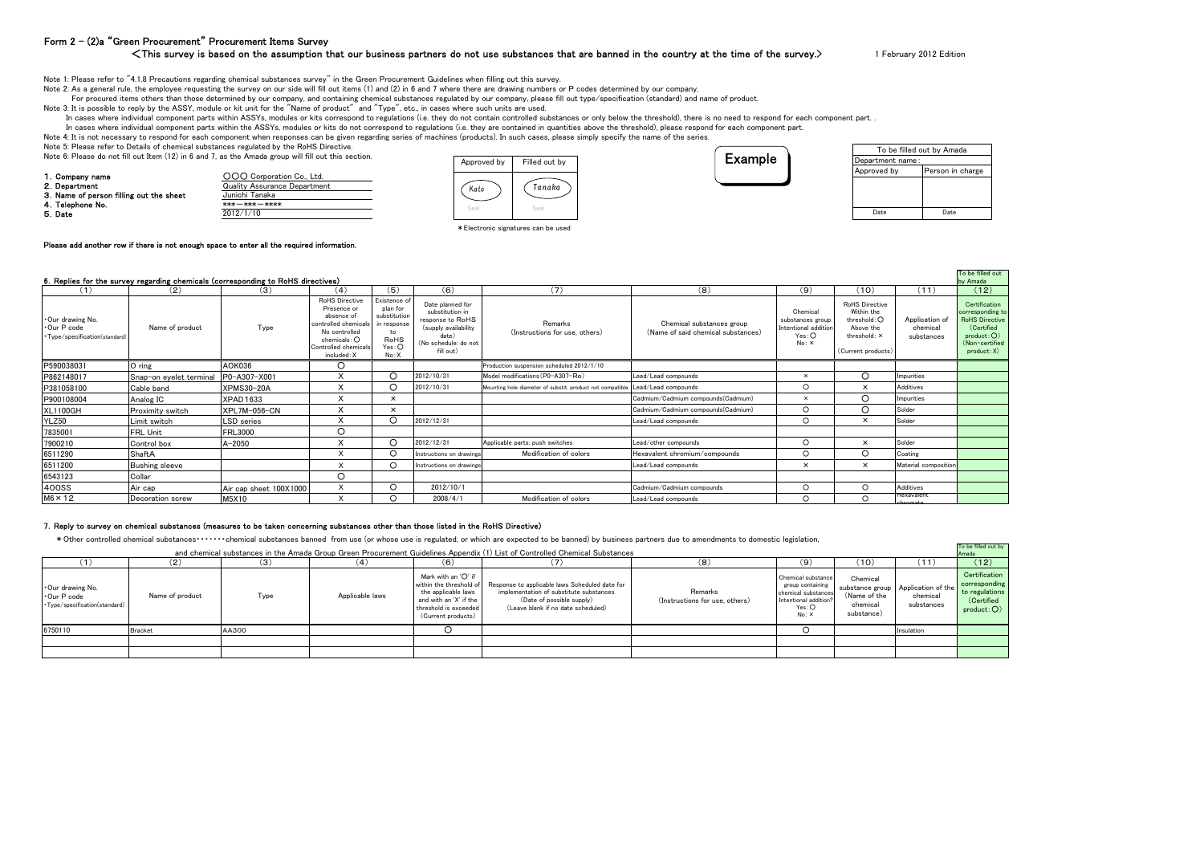## Form 2 – (2)a "Green Procurement" Procurement Items Survey

#### <This survey is based on the assumption that our business partners do not use substances that are banned in the country at the time of the survey.>

1 February 2012 Edition

Note 1: Please refer to "4.1.8 Precautions regarding chemical substances survey" in the Green Procurement Guidelines when filling out this survey.

Note 2: As a general rule, the employee requesting the survey on our side will fill out items (1) and (2) in 6 and 7 where there are drawing numbers or P codes determined by our company.

For procured items others than those determined by our company, and containing chemical substances regulated by our company, please fill out type/specification (standard) and name of product.

Note 3: It is possible to reply by the ASSY, module or kit unit for the "Name of product" and "Type", etc., in cases where such units are used.

In cases where individual component parts within ASSYs, modules or kits correspond to regulations (i.e. they do not contain controlled substances or only below the threshold), there is no need to respond for each component

In cases where individual component parts within the ASSYs, modules or kits do not correspond to regulations (i.e. they are contained in quantities above the threshold), please respond for each component part.

Note 4: It is not necessary to respond for each component when responses can be given regarding series of machines (products). In such cases, please simply specify the name of the series.

Note 5: Please refer to Details of chemical substances regulated by the RoHS Directive.

Note 6: Please do not fill out Item (12) in 6 and 7, as the Amada group will fill out this section.

| 1. Company name                         | OOO Corporation Co., Ltd.           |
|-----------------------------------------|-------------------------------------|
| 2. Department                           | <b>Quality Assurance Department</b> |
| 3. Name of person filling out the sheet | Junichi Tanaka                      |
| 4. Telephone No.                        | $***$ $***$ $***$ $***$             |
| 5. Date                                 | 2012/1/10                           |





| To be filled out by Amada |                  |  |  |  |  |  |
|---------------------------|------------------|--|--|--|--|--|
| Department name:          |                  |  |  |  |  |  |
| Approved by               | Person in charge |  |  |  |  |  |
|                           |                  |  |  |  |  |  |
|                           |                  |  |  |  |  |  |
|                           |                  |  |  |  |  |  |
| Date                      | Date             |  |  |  |  |  |

To be filled out

\*Electronic signatures can be used

#### Please add another row if there is not enough space to enter all the required information.

#### 6.Replies for the survey regarding chemicals (corresponding to RoHS directives)

| 6. Replies for the survey regarding chemicals (corresponding to RoHS directives) |                         |                        |                                                                                                                                                            |                                                                                        |                                                                                                                               |                                                            |                                                                 |                                                                        |                                                                                                 | by Amada                                 |                                                                                                                         |
|----------------------------------------------------------------------------------|-------------------------|------------------------|------------------------------------------------------------------------------------------------------------------------------------------------------------|----------------------------------------------------------------------------------------|-------------------------------------------------------------------------------------------------------------------------------|------------------------------------------------------------|-----------------------------------------------------------------|------------------------------------------------------------------------|-------------------------------------------------------------------------------------------------|------------------------------------------|-------------------------------------------------------------------------------------------------------------------------|
| (1)                                                                              | (2)                     | (3)                    | (4)                                                                                                                                                        | (5)                                                                                    | (6)                                                                                                                           | (7)                                                        | (8)                                                             | (9)                                                                    | (10)                                                                                            | (11)                                     | (12)                                                                                                                    |
| Our drawing No.<br>∙Our P code<br>· Type/specification(standard)                 | Name of product         | Type                   | <b>RoHS Directive</b><br>Presence or<br>absence of<br>controlled chemicals<br>No controlled<br>chemicals: $\bigcap$<br>Controlled chemicals<br>included: X | Existence of<br>plan for<br>substitution<br>in response<br>to<br>RoHS<br>Yes:O<br>No:X | Date planned for<br>substitution in<br>response to RoHS<br>(supply availability<br>date)<br>(No schedule: do not<br>fill out) | Remarks<br>(Instructions for use, others)                  | Chemical substances group<br>(Name of said chemical substances) | Chemical<br>substances group<br>Intentional addition<br>Yes:O<br>No: X | RoHS Directive<br>Within the<br>threshold: O<br>Above the<br>threshold: X<br>(Current products) | Application of<br>chemical<br>substances | Certification<br>corresponding to<br><b>RoHS Directive</b><br>(Certified<br>product:O)<br>(Non-certified<br>product: X) |
| P590038031                                                                       | O ring                  | AOK036                 | O                                                                                                                                                          |                                                                                        |                                                                                                                               | Production suspension scheduled 2012/1/10                  |                                                                 |                                                                        |                                                                                                 |                                          |                                                                                                                         |
| P862148017                                                                       | Snap-on eyelet terminal | P0-A307-X001           |                                                                                                                                                            | Ω                                                                                      | 2012/10/31                                                                                                                    | Model modifications (P0-A307-Ro)                           | Lead/Lead compounds                                             | $\times$                                                               | $\circ$                                                                                         | Impurities                               |                                                                                                                         |
| P381058100                                                                       | Cable band              | <b>XPMS30-20A</b>      | x                                                                                                                                                          | O                                                                                      | 2012/10/31                                                                                                                    | Mounting hole diameter of substit. product not compatible. | Lead/Lead compounds                                             | $\circ$                                                                | $\times$                                                                                        | Additives                                |                                                                                                                         |
| P900108004                                                                       | Analog IC               | XPAD1633               |                                                                                                                                                            | $\times$                                                                               |                                                                                                                               |                                                            | Cadmium/Cadmium compounds(Cadmium)                              | $\times$                                                               | $\circ$                                                                                         | Impurities                               |                                                                                                                         |
| <b>XL1100GH</b>                                                                  | Proximity switch        | XPL7M-056-CN           |                                                                                                                                                            | $\times$                                                                               |                                                                                                                               |                                                            | Cadmium/Cadmium compounds(Cadmium)                              | ∩                                                                      | ◯                                                                                               | Solder                                   |                                                                                                                         |
| YLZ50                                                                            | Limit switch            | LSD series             |                                                                                                                                                            | O                                                                                      | 2012/12/31                                                                                                                    |                                                            | Lead/Lead compounds                                             | $\circ$                                                                | $\times$                                                                                        | Solder                                   |                                                                                                                         |
| 7835001                                                                          | FRL Unit                | <b>FRL3000</b>         | റ                                                                                                                                                          |                                                                                        |                                                                                                                               |                                                            |                                                                 |                                                                        |                                                                                                 |                                          |                                                                                                                         |
| 7900210                                                                          | Control box             | $A - 2050$             |                                                                                                                                                            | O                                                                                      | 2012/12/31                                                                                                                    | Applicable parts: push switches                            | Lead/other compounds                                            | $\Omega$                                                               | $\times$                                                                                        | Solder                                   |                                                                                                                         |
| 6511290                                                                          | ShaftA                  |                        | X                                                                                                                                                          | $\Omega$                                                                               | Instructions on drawings                                                                                                      | Modification of colors                                     | Hexavalent chromium/compounds                                   | $\circ$                                                                | $\circ$                                                                                         | Coating                                  |                                                                                                                         |
| 6511200                                                                          | <b>Bushing sleeve</b>   |                        | $\sqrt{}$                                                                                                                                                  | $\circ$                                                                                | Instructions on drawings                                                                                                      |                                                            | Lead/Lead compounds                                             | $\times$                                                               | $\times$                                                                                        | Material composition                     |                                                                                                                         |
| 6543123                                                                          | Collar                  |                        | O                                                                                                                                                          |                                                                                        |                                                                                                                               |                                                            |                                                                 |                                                                        |                                                                                                 |                                          |                                                                                                                         |
| 400SS                                                                            | Air cap                 | Air cap sheet 100X1000 | X                                                                                                                                                          | $\circ$                                                                                | 2012/10/1                                                                                                                     |                                                            | Cadmium/Cadmium compounds                                       | $\Omega$                                                               | $\circ$                                                                                         | Additives                                |                                                                                                                         |
| $M6 \times 12$                                                                   | Decoration screw        | M5X10                  | $\sqrt{}$                                                                                                                                                  |                                                                                        | 2008/4/1                                                                                                                      | Modification of colors                                     | Lead/Lead compounds                                             | ∩                                                                      | $\circ$                                                                                         | Hexavalent<br>chromate                   |                                                                                                                         |

#### 7.Reply to survey on chemical substances (measures to be taken concerning substances other than those listed in the RoHS Directive)

\*Other controlled chemical substances・・・・・・・chemical substances banned from use (or whose use is regulated, or which are expected to be banned) by business partners due to amendments to domestic legislation,

|                                                                |                 |       |                 |                                                                                                                                                | and chemical substances in the Amada Group Green Procurement Guidelines Appendix (1) List of Controlled Chemical Substances                                  |                                           |                                                                                                          |                                                    |                                                              | To be filled out by<br>Amada                                                |
|----------------------------------------------------------------|-----------------|-------|-----------------|------------------------------------------------------------------------------------------------------------------------------------------------|--------------------------------------------------------------------------------------------------------------------------------------------------------------|-------------------------------------------|----------------------------------------------------------------------------------------------------------|----------------------------------------------------|--------------------------------------------------------------|-----------------------------------------------------------------------------|
|                                                                | (2)             | (3)   |                 | (6)                                                                                                                                            |                                                                                                                                                              | (8)                                       | 9.                                                                                                       | (10)                                               | (11)                                                         | (12)                                                                        |
| Our drawing No.<br>Our P code<br>·Type/specification(standard) | Name of product | Type  | Applicable laws | Mark with an 'O' if<br>within the threshold of<br>the applicable laws<br>and with an 'X' if the<br>threshold is exceeded<br>(Current products) | Response to applicable laws Scheduled date for<br>implementation of substitute substances<br>(Date of possible supply)<br>(Leave blank if no date scheduled) | Remarks<br>(Instructions for use, others) | Chemical substance<br>group containing<br>chemical substances<br>Intentional addition?<br>Yes:O<br>No: X | Chemical<br>(Name of the<br>chemical<br>substance) | substance group Application of the<br>chemical<br>substances | Certification<br>corresponding<br>to regulations<br>(Certified<br>product:O |
| 6750110                                                        | <b>Bracket</b>  | AA300 |                 |                                                                                                                                                |                                                                                                                                                              |                                           |                                                                                                          |                                                    | Insulation                                                   |                                                                             |
|                                                                |                 |       |                 |                                                                                                                                                |                                                                                                                                                              |                                           |                                                                                                          |                                                    |                                                              |                                                                             |
|                                                                |                 |       |                 |                                                                                                                                                |                                                                                                                                                              |                                           |                                                                                                          |                                                    |                                                              |                                                                             |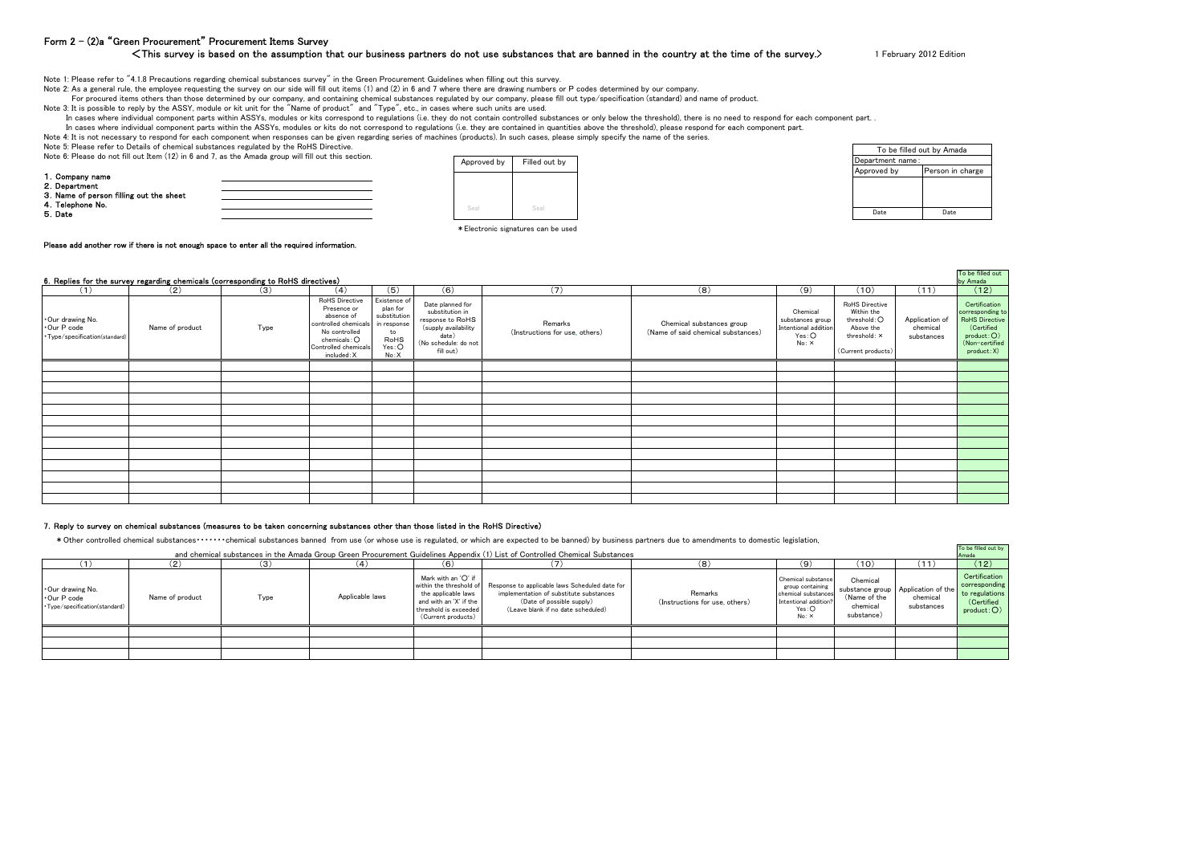## Form 2 – (2)a "Green Procurement" Procurement Items Survey

#### <This survey is based on the assumption that our business partners do not use substances that are banned in the country at the time of the survey.>

1 February 2012 Edition

Note 1: Please refer to "4.1.8 Precautions regarding chemical substances survey" in the Green Procurement Guidelines when filling out this survey.

Note 2: As a general rule, the employee requesting the survey on our side will fill out items (1) and (2) in 6 and 7 where there are drawing numbers or P codes determined by our company.

For procured items others than those determined by our company, and containing chemical substances regulated by our company, please fill out type/specification (standard) and name of product.

Note 3: It is possible to reply by the ASSY, module or kit unit for the "Name of product" and "Type", etc., in cases where such units are used.

In cases where individual component parts within ASSYs, modules or kits correspond to regulations (i.e. they do not contain controlled substances or only below the threshold), there is no need to respond for each component

In cases where individual component parts within the ASSYs, modules or kits do not correspond to regulations (i.e. they are contained in quantities above the threshold), please respond for each component part.

Note 4: It is not necessary to respond for each component when responses can be given regarding series of machines (products). In such cases, please simply specify the name of the series.

Note 5: Please refer to Details of chemical substances regulated by the RoHS Directive.

Note 6: Please do not fill out Item (12) in 6 and 7, as the Amada group will fill out this section.

| 1. Company name                         |  |
|-----------------------------------------|--|
| 2. Department                           |  |
| 3. Name of person filling out the sheet |  |
| 4. Telephone No.                        |  |
| 5. Date                                 |  |
|                                         |  |



| .         | . |                  |                           |
|-----------|---|------------------|---------------------------|
|           |   |                  | To be filled out by Amada |
| ed out by |   | Department name: |                           |
|           |   | Approved by      | Person in charge          |
|           |   |                  |                           |
|           |   |                  |                           |
| Seal      |   |                  |                           |
|           |   | Date             | Date                      |
|           |   |                  |                           |

 $\ast$  Electronic signatures can be used

#### Please add another row if there is not enough space to enter all the required information.

|                                                                 | 6. Replies for the survey regarding chemicals (corresponding to RoHS directives) |      |                                                                                                                                            |                                                                                        |                                                                                                                               |                                           |                                                                 |                                                                        |                                                                                                 |                                          | To be filled out<br>by Amada                                                                                            |
|-----------------------------------------------------------------|----------------------------------------------------------------------------------|------|--------------------------------------------------------------------------------------------------------------------------------------------|----------------------------------------------------------------------------------------|-------------------------------------------------------------------------------------------------------------------------------|-------------------------------------------|-----------------------------------------------------------------|------------------------------------------------------------------------|-------------------------------------------------------------------------------------------------|------------------------------------------|-------------------------------------------------------------------------------------------------------------------------|
| (1)                                                             | (2)                                                                              | (3)  | (4)                                                                                                                                        | (5)                                                                                    | (6)                                                                                                                           | (7)                                       | (8)                                                             | (9)                                                                    | (10)                                                                                            | (11)                                     | (12)                                                                                                                    |
| Our drawing No.<br>Our P code<br>· Type/specification(standard) | Name of product                                                                  | Type | RoHS Directive<br>Presence or<br>absence of<br>controlled chemicals<br>No controlled<br>chemicals:O<br>Controlled chemicals<br>included: X | Existence of<br>plan for<br>substitution<br>in response<br>to<br>RoHS<br>Yes:O<br>No:X | Date planned for<br>substitution in<br>response to RoHS<br>(supply availability<br>date)<br>(No schedule: do not<br>fill out) | Remarks<br>(Instructions for use, others) | Chemical substances group<br>(Name of said chemical substances) | Chemical<br>substances group<br>Intentional addition<br>Yes:O<br>No: X | RoHS Directive<br>Within the<br>threshold: O<br>Above the<br>threshold: X<br>(Current products) | Application of<br>chemical<br>substances | Certification<br>corresponding to<br><b>RoHS Directive</b><br>(Certified<br>product:O)<br>(Non-certified<br>product: X) |
|                                                                 |                                                                                  |      |                                                                                                                                            |                                                                                        |                                                                                                                               |                                           |                                                                 |                                                                        |                                                                                                 |                                          |                                                                                                                         |
|                                                                 |                                                                                  |      |                                                                                                                                            |                                                                                        |                                                                                                                               |                                           |                                                                 |                                                                        |                                                                                                 |                                          |                                                                                                                         |
|                                                                 |                                                                                  |      |                                                                                                                                            |                                                                                        |                                                                                                                               |                                           |                                                                 |                                                                        |                                                                                                 |                                          |                                                                                                                         |
|                                                                 |                                                                                  |      |                                                                                                                                            |                                                                                        |                                                                                                                               |                                           |                                                                 |                                                                        |                                                                                                 |                                          |                                                                                                                         |
|                                                                 |                                                                                  |      |                                                                                                                                            |                                                                                        |                                                                                                                               |                                           |                                                                 |                                                                        |                                                                                                 |                                          |                                                                                                                         |
|                                                                 |                                                                                  |      |                                                                                                                                            |                                                                                        |                                                                                                                               |                                           |                                                                 |                                                                        |                                                                                                 |                                          |                                                                                                                         |
|                                                                 |                                                                                  |      |                                                                                                                                            |                                                                                        |                                                                                                                               |                                           |                                                                 |                                                                        |                                                                                                 |                                          |                                                                                                                         |
|                                                                 |                                                                                  |      |                                                                                                                                            |                                                                                        |                                                                                                                               |                                           |                                                                 |                                                                        |                                                                                                 |                                          |                                                                                                                         |
|                                                                 |                                                                                  |      |                                                                                                                                            |                                                                                        |                                                                                                                               |                                           |                                                                 |                                                                        |                                                                                                 |                                          |                                                                                                                         |
|                                                                 |                                                                                  |      |                                                                                                                                            |                                                                                        |                                                                                                                               |                                           |                                                                 |                                                                        |                                                                                                 |                                          |                                                                                                                         |
|                                                                 |                                                                                  |      |                                                                                                                                            |                                                                                        |                                                                                                                               |                                           |                                                                 |                                                                        |                                                                                                 |                                          |                                                                                                                         |
|                                                                 |                                                                                  |      |                                                                                                                                            |                                                                                        |                                                                                                                               |                                           |                                                                 |                                                                        |                                                                                                 |                                          |                                                                                                                         |
|                                                                 |                                                                                  |      |                                                                                                                                            |                                                                                        |                                                                                                                               |                                           |                                                                 |                                                                        |                                                                                                 |                                          |                                                                                                                         |

#### 7.Reply to survey on chemical substances (measures to be taken concerning substances other than those listed in the RoHS Directive)

\*Other controlled chemical substances・・・・・・・chemical substances banned from use (or whose use is regulated, or which are expected to be banned) by business partners due to amendments to domestic legislation,

|                                                                  |                 |      |                 |                                                                                                                       | and chemical substances in the Amada Group Green Procurement Guidelines Appendix (1) List of Controlled Chemical Substances                                                          |                                           |                                                                                                          |                                                    |                                                                | To be filled out by<br>Amada                                                |
|------------------------------------------------------------------|-----------------|------|-----------------|-----------------------------------------------------------------------------------------------------------------------|--------------------------------------------------------------------------------------------------------------------------------------------------------------------------------------|-------------------------------------------|----------------------------------------------------------------------------------------------------------|----------------------------------------------------|----------------------------------------------------------------|-----------------------------------------------------------------------------|
|                                                                  | (2)             | (3)  | (4)             | (6)                                                                                                                   |                                                                                                                                                                                      | (8)                                       | 9)                                                                                                       | (10)                                               | (11)                                                           | (12)                                                                        |
| Our drawing No.<br>∙Our P code<br>· Type/specification(standard) | Name of product | Type | Applicable laws | Mark with an $'O'$ if<br>the applicable laws<br>and with an 'X' if the<br>threshold is exceeded<br>(Current products) | within the threshold of Response to applicable laws Scheduled date for<br>implementation of substitute substances<br>(Date of possible supply)<br>(Leave blank if no date scheduled) | Remarks<br>(Instructions for use, others) | Chemical substance<br>group containing<br>chemical substances<br>Intentional addition?<br>Yes:O<br>No: X | Chemical<br>(Name of the<br>chemical<br>substance) | substance group   Application of the<br>chemical<br>substances | Certification<br>corresponding<br>to regulations<br>(Certified<br>product:O |
|                                                                  |                 |      |                 |                                                                                                                       |                                                                                                                                                                                      |                                           |                                                                                                          |                                                    |                                                                |                                                                             |
|                                                                  |                 |      |                 |                                                                                                                       |                                                                                                                                                                                      |                                           |                                                                                                          |                                                    |                                                                |                                                                             |
|                                                                  |                 |      |                 |                                                                                                                       |                                                                                                                                                                                      |                                           |                                                                                                          |                                                    |                                                                |                                                                             |